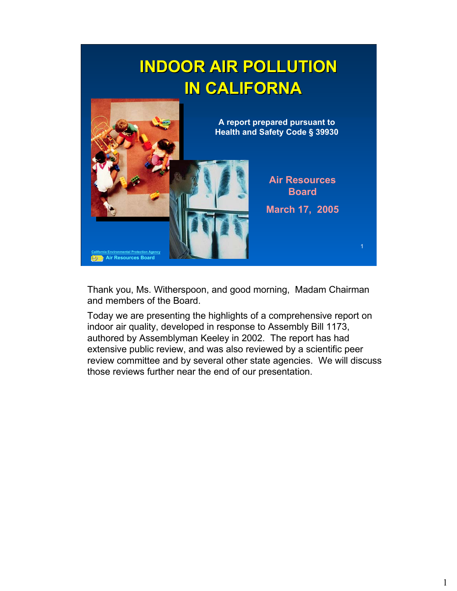# **INDOOR AIR POLLUTION INDOOR AIR POLLUTION IN CALIFORNA IN CALIFORNA**



Thank you, Ms. Witherspoon, and good morning, Madam Chairman and members of the Board.

Today we are presenting the highlights of a comprehensive report on indoor air quality, developed in response to Assembly Bill 1173, authored by Assemblyman Keeley in 2002. The report has had extensive public review, and was also reviewed by a scientific peer review committee and by several other state agencies. We will discuss those reviews further near the end of our presentation.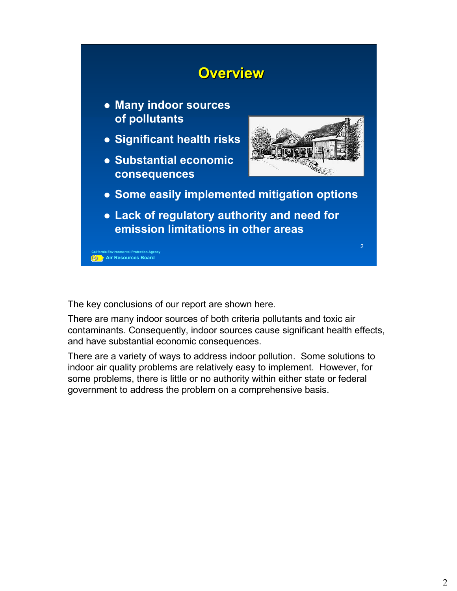

The key conclusions of our report are shown here.

There are many indoor sources of both criteria pollutants and toxic air contaminants. Consequently, indoor sources cause significant health effects, and have substantial economic consequences.

There are a variety of ways to address indoor pollution. Some solutions to indoor air quality problems are relatively easy to implement. However, for some problems, there is little or no authority within either state or federal government to address the problem on a comprehensive basis.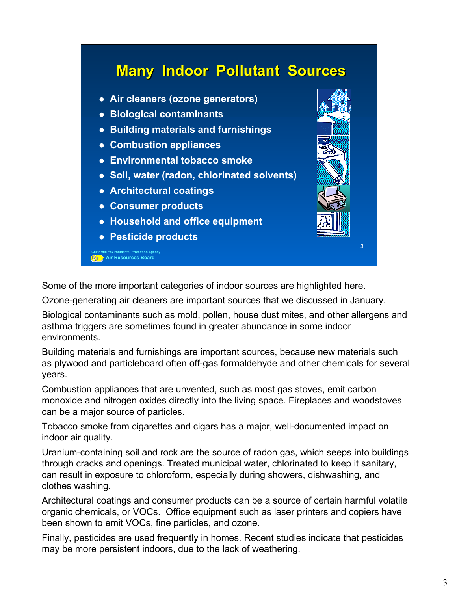#### **Many Indoor Pollutant Sources Many Indoor Pollutant Sources**

- **Air cleaners (ozone generators)**
- **Biological contaminants**
- **Building materials and furnishings**
- **Combustion appliances**
- **Environmental tobacco smoke**
- z **Soil, water (radon, chlorinated solvents)**
- **Architectural coatings**
- z **Consumer products**
- **Household and office equipment**
- z **Pesticide products**

**California Environmental Protection Agency Air Resources Board**



Some of the more important categories of indoor sources are highlighted here.

Ozone-generating air cleaners are important sources that we discussed in January.

Biological contaminants such as mold, pollen, house dust mites, and other allergens and asthma triggers are sometimes found in greater abundance in some indoor environments.

Building materials and furnishings are important sources, because new materials such as plywood and particleboard often off-gas formaldehyde and other chemicals for several years.

Combustion appliances that are unvented, such as most gas stoves, emit carbon monoxide and nitrogen oxides directly into the living space. Fireplaces and woodstoves can be a major source of particles.

Tobacco smoke from cigarettes and cigars has a major, well-documented impact on indoor air quality.

Uranium-containing soil and rock are the source of radon gas, which seeps into buildings through cracks and openings. Treated municipal water, chlorinated to keep it sanitary, can result in exposure to chloroform, especially during showers, dishwashing, and clothes washing.

Architectural coatings and consumer products can be a source of certain harmful volatile organic chemicals, or VOCs. Office equipment such as laser printers and copiers have been shown to emit VOCs, fine particles, and ozone.

Finally, pesticides are used frequently in homes. Recent studies indicate that pesticides may be more persistent indoors, due to the lack of weathering.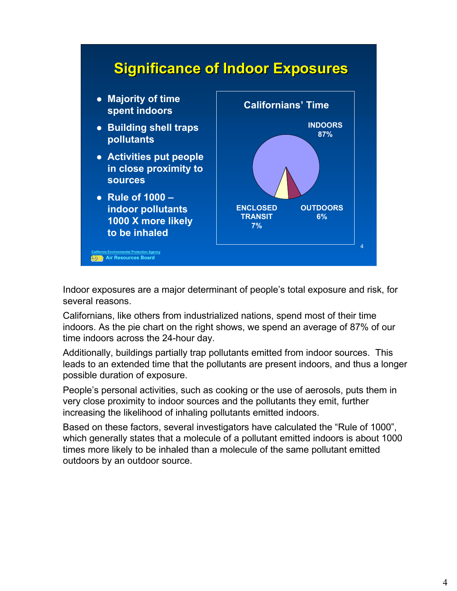

Indoor exposures are a major determinant of people's total exposure and risk, for several reasons.

Californians, like others from industrialized nations, spend most of their time indoors. As the pie chart on the right shows, we spend an average of 87% of our time indoors across the 24-hour day.

Additionally, buildings partially trap pollutants emitted from indoor sources. This leads to an extended time that the pollutants are present indoors, and thus a longer possible duration of exposure.

People's personal activities, such as cooking or the use of aerosols, puts them in very close proximity to indoor sources and the pollutants they emit, further increasing the likelihood of inhaling pollutants emitted indoors.

Based on these factors, several investigators have calculated the "Rule of 1000", which generally states that a molecule of a pollutant emitted indoors is about 1000 times more likely to be inhaled than a molecule of the same pollutant emitted outdoors by an outdoor source.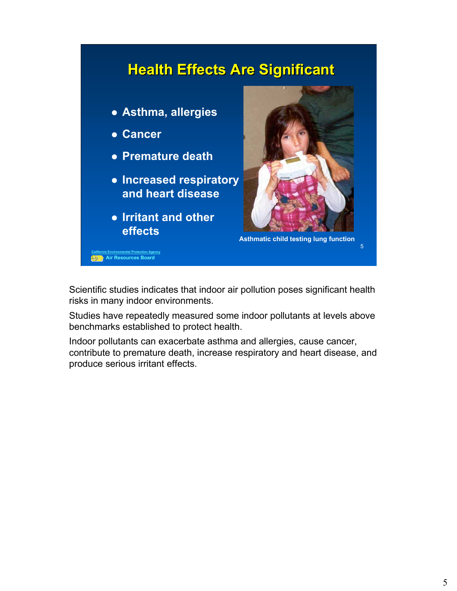

Scientific studies indicates that indoor air pollution poses significant health risks in many indoor environments.

Studies have repeatedly measured some indoor pollutants at levels above benchmarks established to protect health.

Indoor pollutants can exacerbate asthma and allergies, cause cancer, contribute to premature death, increase respiratory and heart disease, and produce serious irritant effects.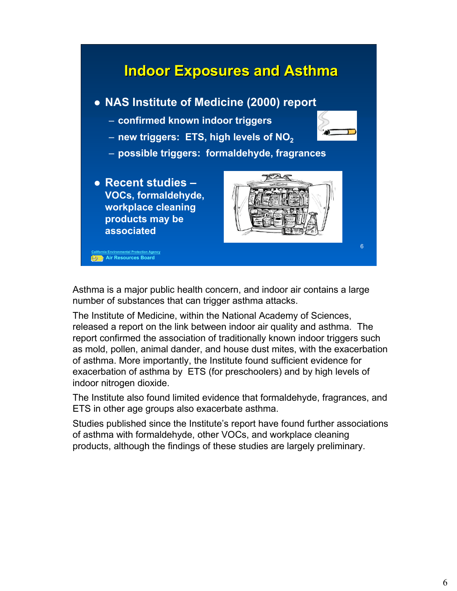

Asthma is a major public health concern, and indoor air contains a large number of substances that can trigger asthma attacks.

The Institute of Medicine, within the National Academy of Sciences, released a report on the link between indoor air quality and asthma. The report confirmed the association of traditionally known indoor triggers such as mold, pollen, animal dander, and house dust mites, with the exacerbation of asthma. More importantly, the Institute found sufficient evidence for exacerbation of asthma by ETS (for preschoolers) and by high levels of indoor nitrogen dioxide.

The Institute also found limited evidence that formaldehyde, fragrances, and ETS in other age groups also exacerbate asthma.

Studies published since the Institute's report have found further associations of asthma with formaldehyde, other VOCs, and workplace cleaning products, although the findings of these studies are largely preliminary.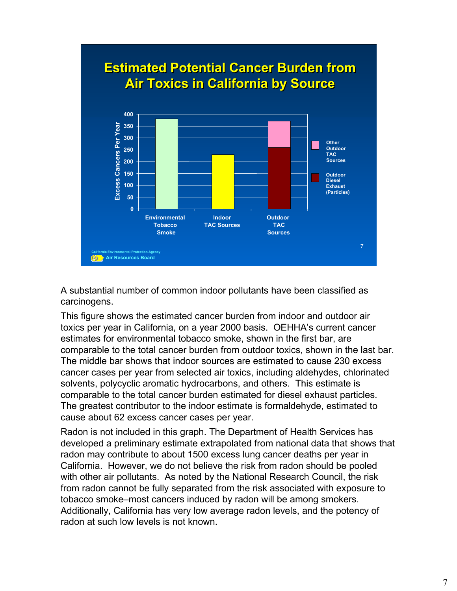

A substantial number of common indoor pollutants have been classified as carcinogens.

This figure shows the estimated cancer burden from indoor and outdoor air toxics per year in California, on a year 2000 basis. OEHHA's current cancer estimates for environmental tobacco smoke, shown in the first bar, are comparable to the total cancer burden from outdoor toxics, shown in the last bar. The middle bar shows that indoor sources are estimated to cause 230 excess cancer cases per year from selected air toxics, including aldehydes, chlorinated solvents, polycyclic aromatic hydrocarbons, and others. This estimate is comparable to the total cancer burden estimated for diesel exhaust particles. The greatest contributor to the indoor estimate is formaldehyde, estimated to cause about 62 excess cancer cases per year.

Radon is not included in this graph. The Department of Health Services has developed a preliminary estimate extrapolated from national data that shows that radon may contribute to about 1500 excess lung cancer deaths per year in California. However, we do not believe the risk from radon should be pooled with other air pollutants. As noted by the National Research Council, the risk from radon cannot be fully separated from the risk associated with exposure to tobacco smoke–most cancers induced by radon will be among smokers. Additionally, California has very low average radon levels, and the potency of radon at such low levels is not known.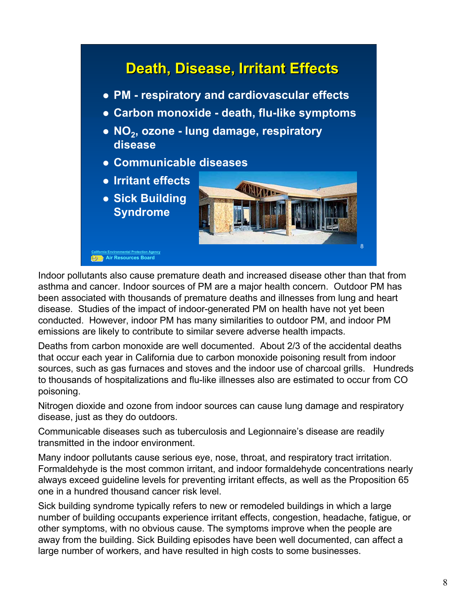

Indoor pollutants also cause premature death and increased disease other than that from asthma and cancer. Indoor sources of PM are a major health concern. Outdoor PM has been associated with thousands of premature deaths and illnesses from lung and heart disease. Studies of the impact of indoor-generated PM on health have not yet been conducted. However, indoor PM has many similarities to outdoor PM, and indoor PM emissions are likely to contribute to similar severe adverse health impacts.

Deaths from carbon monoxide are well documented. About 2/3 of the accidental deaths that occur each year in California due to carbon monoxide poisoning result from indoor sources, such as gas furnaces and stoves and the indoor use of charcoal grills. Hundreds to thousands of hospitalizations and flu-like illnesses also are estimated to occur from CO poisoning.

Nitrogen dioxide and ozone from indoor sources can cause lung damage and respiratory disease, just as they do outdoors.

Communicable diseases such as tuberculosis and Legionnaire's disease are readily transmitted in the indoor environment.

Many indoor pollutants cause serious eye, nose, throat, and respiratory tract irritation. Formaldehyde is the most common irritant, and indoor formaldehyde concentrations nearly always exceed guideline levels for preventing irritant effects, as well as the Proposition 65 one in a hundred thousand cancer risk level.

Sick building syndrome typically refers to new or remodeled buildings in which a large number of building occupants experience irritant effects, congestion, headache, fatigue, or other symptoms, with no obvious cause. The symptoms improve when the people are away from the building. Sick Building episodes have been well documented, can affect a large number of workers, and have resulted in high costs to some businesses.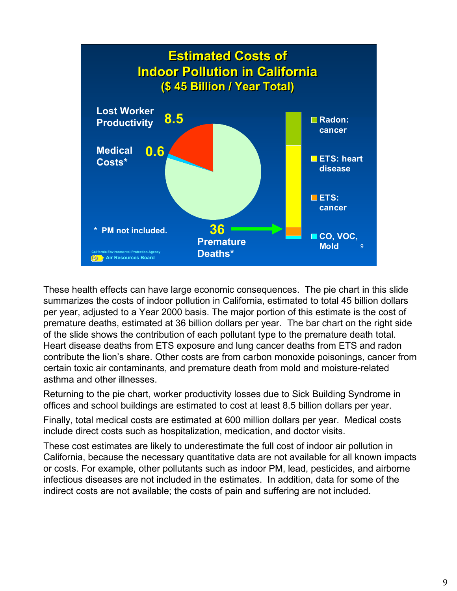

These health effects can have large economic consequences. The pie chart in this slide summarizes the costs of indoor pollution in California, estimated to total 45 billion dollars per year, adjusted to a Year 2000 basis. The major portion of this estimate is the cost of premature deaths, estimated at 36 billion dollars per year. The bar chart on the right side of the slide shows the contribution of each pollutant type to the premature death total. Heart disease deaths from ETS exposure and lung cancer deaths from ETS and radon contribute the lion's share. Other costs are from carbon monoxide poisonings, cancer from certain toxic air contaminants, and premature death from mold and moisture-related asthma and other illnesses.

Returning to the pie chart, worker productivity losses due to Sick Building Syndrome in offices and school buildings are estimated to cost at least 8.5 billion dollars per year.

Finally, total medical costs are estimated at 600 million dollars per year. Medical costs include direct costs such as hospitalization, medication, and doctor visits.

These cost estimates are likely to underestimate the full cost of indoor air pollution in California, because the necessary quantitative data are not available for all known impacts or costs. For example, other pollutants such as indoor PM, lead, pesticides, and airborne infectious diseases are not included in the estimates. In addition, data for some of the indirect costs are not available; the costs of pain and suffering are not included.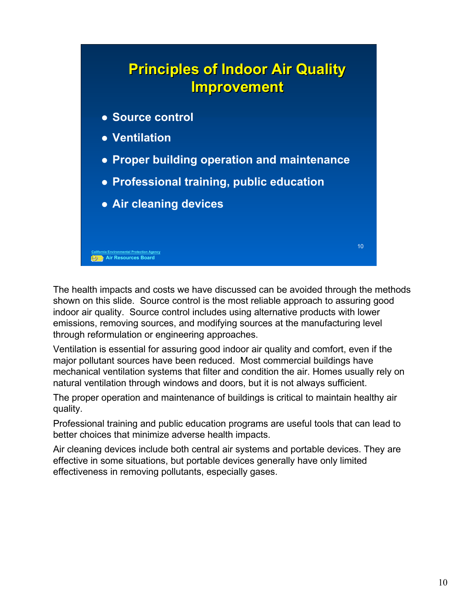## **Principles of Indoor Air Quality Principles of Indoor Air Quality Improvement Improvement**

- $\bullet$  **Source control**
- z **Ventilation**

**California Environmental Protection Agency Air Resources Board**

- **Proper building operation and maintenance**
- **Professional training, public education**
- **Air cleaning devices**

The health impacts and costs we have discussed can be avoided through the methods shown on this slide. Source control is the most reliable approach to assuring good indoor air quality. Source control includes using alternative products with lower emissions, removing sources, and modifying sources at the manufacturing level through reformulation or engineering approaches.

Ventilation is essential for assuring good indoor air quality and comfort, even if the major pollutant sources have been reduced. Most commercial buildings have mechanical ventilation systems that filter and condition the air. Homes usually rely on natural ventilation through windows and doors, but it is not always sufficient.

The proper operation and maintenance of buildings is critical to maintain healthy air quality.

Professional training and public education programs are useful tools that can lead to better choices that minimize adverse health impacts.

Air cleaning devices include both central air systems and portable devices. They are effective in some situations, but portable devices generally have only limited effectiveness in removing pollutants, especially gases.

10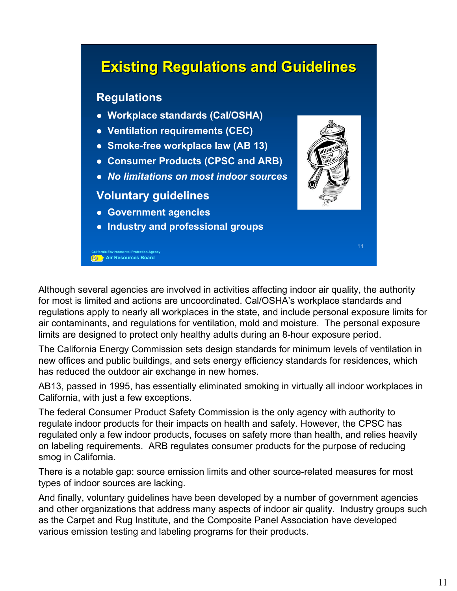### **California Environmental Protection Agency Air Resources Board** 11 **Existing Regulations and Guidelines Existing Regulations and Guidelines Regulations** z **Workplace standards (Cal/OSHA)** z **Ventilation requirements (CEC) • Smoke-free workplace law (AB 13)** z **Consumer Products (CPSC and ARB)** z *No limitations on most indoor sources* **Voluntary guidelines • Government agencies • Industry and professional groups**

Although several agencies are involved in activities affecting indoor air quality, the authority for most is limited and actions are uncoordinated. Cal/OSHA's workplace standards and regulations apply to nearly all workplaces in the state, and include personal exposure limits for air contaminants, and regulations for ventilation, mold and moisture. The personal exposure limits are designed to protect only healthy adults during an 8-hour exposure period.

The California Energy Commission sets design standards for minimum levels of ventilation in new offices and public buildings, and sets energy efficiency standards for residences, which has reduced the outdoor air exchange in new homes.

AB13, passed in 1995, has essentially eliminated smoking in virtually all indoor workplaces in California, with just a few exceptions.

The federal Consumer Product Safety Commission is the only agency with authority to regulate indoor products for their impacts on health and safety. However, the CPSC has regulated only a few indoor products, focuses on safety more than health, and relies heavily on labeling requirements. ARB regulates consumer products for the purpose of reducing smog in California.

There is a notable gap: source emission limits and other source-related measures for most types of indoor sources are lacking.

And finally, voluntary guidelines have been developed by a number of government agencies and other organizations that address many aspects of indoor air quality. Industry groups such as the Carpet and Rug Institute, and the Composite Panel Association have developed various emission testing and labeling programs for their products.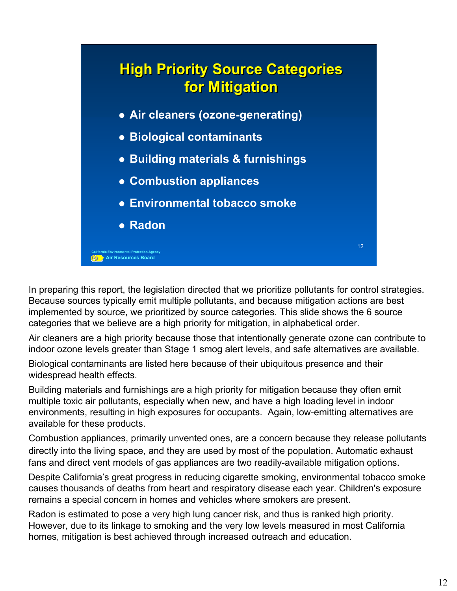

In preparing this report, the legislation directed that we prioritize pollutants for control strategies. Because sources typically emit multiple pollutants, and because mitigation actions are best implemented by source, we prioritized by source categories. This slide shows the 6 source categories that we believe are a high priority for mitigation, in alphabetical order.

Air cleaners are a high priority because those that intentionally generate ozone can contribute to indoor ozone levels greater than Stage 1 smog alert levels, and safe alternatives are available.

Biological contaminants are listed here because of their ubiquitous presence and their widespread health effects.

Building materials and furnishings are a high priority for mitigation because they often emit multiple toxic air pollutants, especially when new, and have a high loading level in indoor environments, resulting in high exposures for occupants. Again, low-emitting alternatives are available for these products.

Combustion appliances, primarily unvented ones, are a concern because they release pollutants directly into the living space, and they are used by most of the population. Automatic exhaust fans and direct vent models of gas appliances are two readily-available mitigation options.

Despite California's great progress in reducing cigarette smoking, environmental tobacco smoke causes thousands of deaths from heart and respiratory disease each year. Children's exposure remains a special concern in homes and vehicles where smokers are present.

Radon is estimated to pose a very high lung cancer risk, and thus is ranked high priority. However, due to its linkage to smoking and the very low levels measured in most California homes, mitigation is best achieved through increased outreach and education.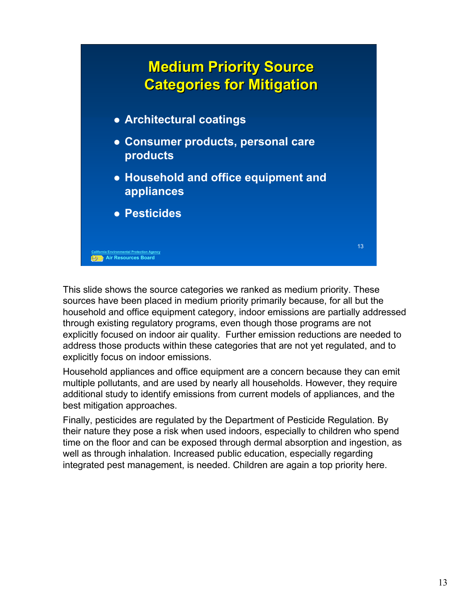

This slide shows the source categories we ranked as medium priority. These sources have been placed in medium priority primarily because, for all but the household and office equipment category, indoor emissions are partially addressed through existing regulatory programs, even though those programs are not explicitly focused on indoor air quality. Further emission reductions are needed to address those products within these categories that are not yet regulated, and to explicitly focus on indoor emissions.

Household appliances and office equipment are a concern because they can emit multiple pollutants, and are used by nearly all households. However, they require additional study to identify emissions from current models of appliances, and the best mitigation approaches.

Finally, pesticides are regulated by the Department of Pesticide Regulation. By their nature they pose a risk when used indoors, especially to children who spend time on the floor and can be exposed through dermal absorption and ingestion, as well as through inhalation. Increased public education, especially regarding integrated pest management, is needed. Children are again a top priority here.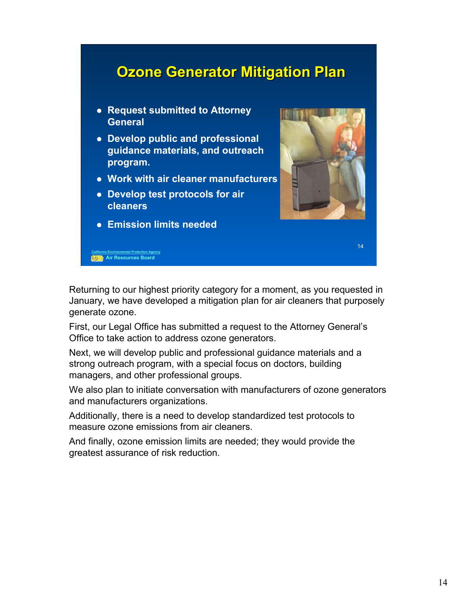#### **Ozone Generator Mitigation Plan Ozone Generator Mitigation Plan**

- **Request submitted to Attorney General**
- **Develop public and professional guidance materials, and outreach program.**
- **Work with air cleaner manufacturers**
- **Develop test protocols for air cleaners**
- **Emission limits needed**

**California Environmental Protection Agency Air Resources Board**



14

Returning to our highest priority category for a moment, as you requested in January, we have developed a mitigation plan for air cleaners that purposely generate ozone.

First, our Legal Office has submitted a request to the Attorney General's Office to take action to address ozone generators.

Next, we will develop public and professional guidance materials and a strong outreach program, with a special focus on doctors, building managers, and other professional groups.

We also plan to initiate conversation with manufacturers of ozone generators and manufacturers organizations.

Additionally, there is a need to develop standardized test protocols to measure ozone emissions from air cleaners.

And finally, ozone emission limits are needed; they would provide the greatest assurance of risk reduction.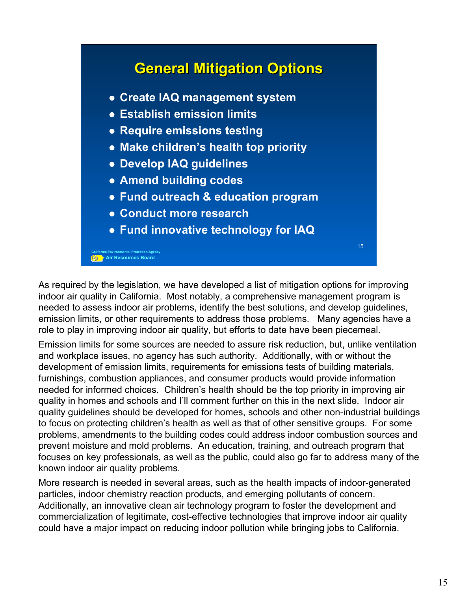

As required by the legislation, we have developed a list of mitigation options for improving indoor air quality in California. Most notably, a comprehensive management program is needed to assess indoor air problems, identify the best solutions, and develop guidelines, emission limits, or other requirements to address those problems. Many agencies have a role to play in improving indoor air quality, but efforts to date have been piecemeal.

Emission limits for some sources are needed to assure risk reduction, but, unlike ventilation and workplace issues, no agency has such authority. Additionally, with or without the development of emission limits, requirements for emissions tests of building materials, furnishings, combustion appliances, and consumer products would provide information needed for informed choices. Children's health should be the top priority in improving air quality in homes and schools and I'll comment further on this in the next slide. Indoor air quality guidelines should be developed for homes, schools and other non-industrial buildings to focus on protecting children's health as well as that of other sensitive groups. For some problems, amendments to the building codes could address indoor combustion sources and prevent moisture and mold problems. An education, training, and outreach program that focuses on key professionals, as well as the public, could also go far to address many of the known indoor air quality problems.

More research is needed in several areas, such as the health impacts of indoor-generated particles, indoor chemistry reaction products, and emerging pollutants of concern. Additionally, an innovative clean air technology program to foster the development and commercialization of legitimate, cost-effective technologies that improve indoor air quality could have a major impact on reducing indoor pollution while bringing jobs to California.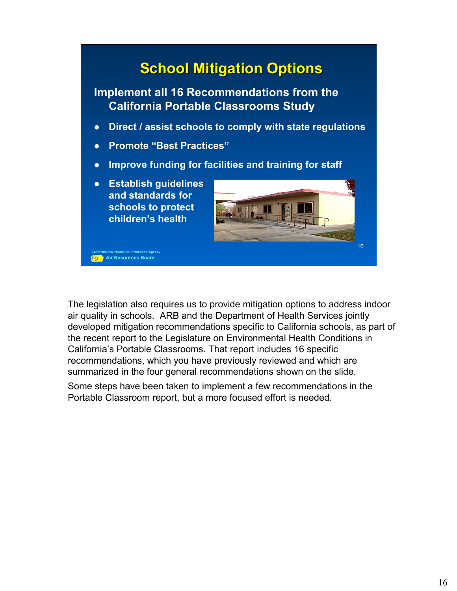

The legislation also requires us to provide mitigation options to address indoor air quality in schools. ARB and the Department of Health Services jointly developed mitigation recommendations specific to California schools, as part of the recent report to the Legislature on Environmental Health Conditions in California's Portable Classrooms. That report includes 16 specific recommendations, which you have previously reviewed and which are summarized in the four general recommendations shown on the slide.

Some steps have been taken to implement a few recommendations in the Portable Classroom report, but a more focused effort is needed.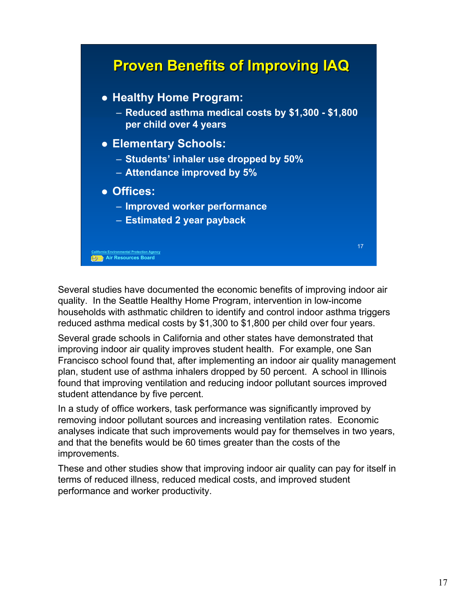

Several studies have documented the economic benefits of improving indoor air quality. In the Seattle Healthy Home Program, intervention in low-income households with asthmatic children to identify and control indoor asthma triggers reduced asthma medical costs by \$1,300 to \$1,800 per child over four years.

Several grade schools in California and other states have demonstrated that improving indoor air quality improves student health. For example, one San Francisco school found that, after implementing an indoor air quality management plan, student use of asthma inhalers dropped by 50 percent. A school in Illinois found that improving ventilation and reducing indoor pollutant sources improved student attendance by five percent.

In a study of office workers, task performance was significantly improved by removing indoor pollutant sources and increasing ventilation rates. Economic analyses indicate that such improvements would pay for themselves in two years, and that the benefits would be 60 times greater than the costs of the improvements.

These and other studies show that improving indoor air quality can pay for itself in terms of reduced illness, reduced medical costs, and improved student performance and worker productivity.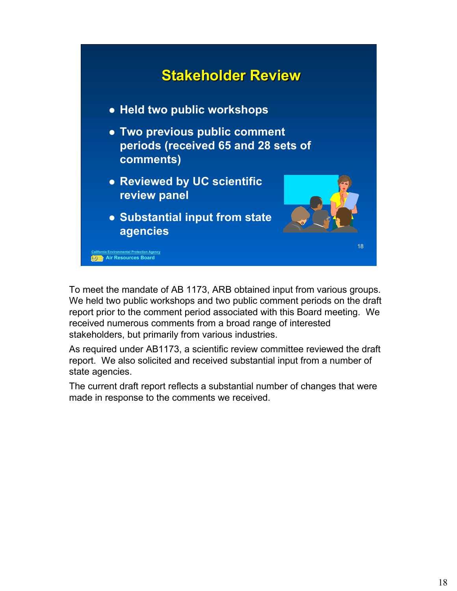

To meet the mandate of AB 1173, ARB obtained input from various groups. We held two public workshops and two public comment periods on the draft report prior to the comment period associated with this Board meeting. We received numerous comments from a broad range of interested stakeholders, but primarily from various industries.

As required under AB1173, a scientific review committee reviewed the draft report. We also solicited and received substantial input from a number of state agencies.

The current draft report reflects a substantial number of changes that were made in response to the comments we received.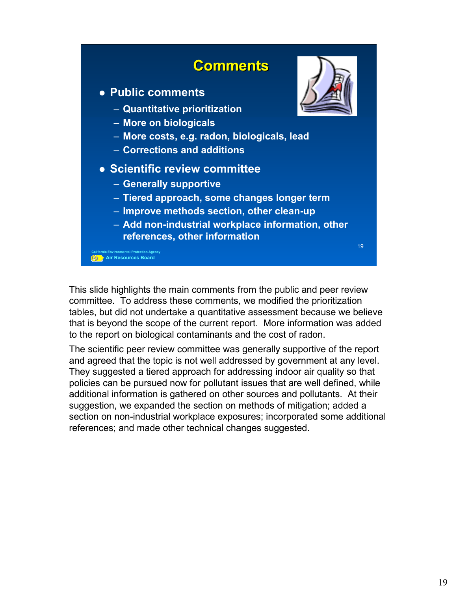

This slide highlights the main comments from the public and peer review committee. To address these comments, we modified the prioritization tables, but did not undertake a quantitative assessment because we believe that is beyond the scope of the current report. More information was added to the report on biological contaminants and the cost of radon.

The scientific peer review committee was generally supportive of the report and agreed that the topic is not well addressed by government at any level. They suggested a tiered approach for addressing indoor air quality so that policies can be pursued now for pollutant issues that are well defined, while additional information is gathered on other sources and pollutants. At their suggestion, we expanded the section on methods of mitigation; added a section on non-industrial workplace exposures; incorporated some additional references; and made other technical changes suggested.